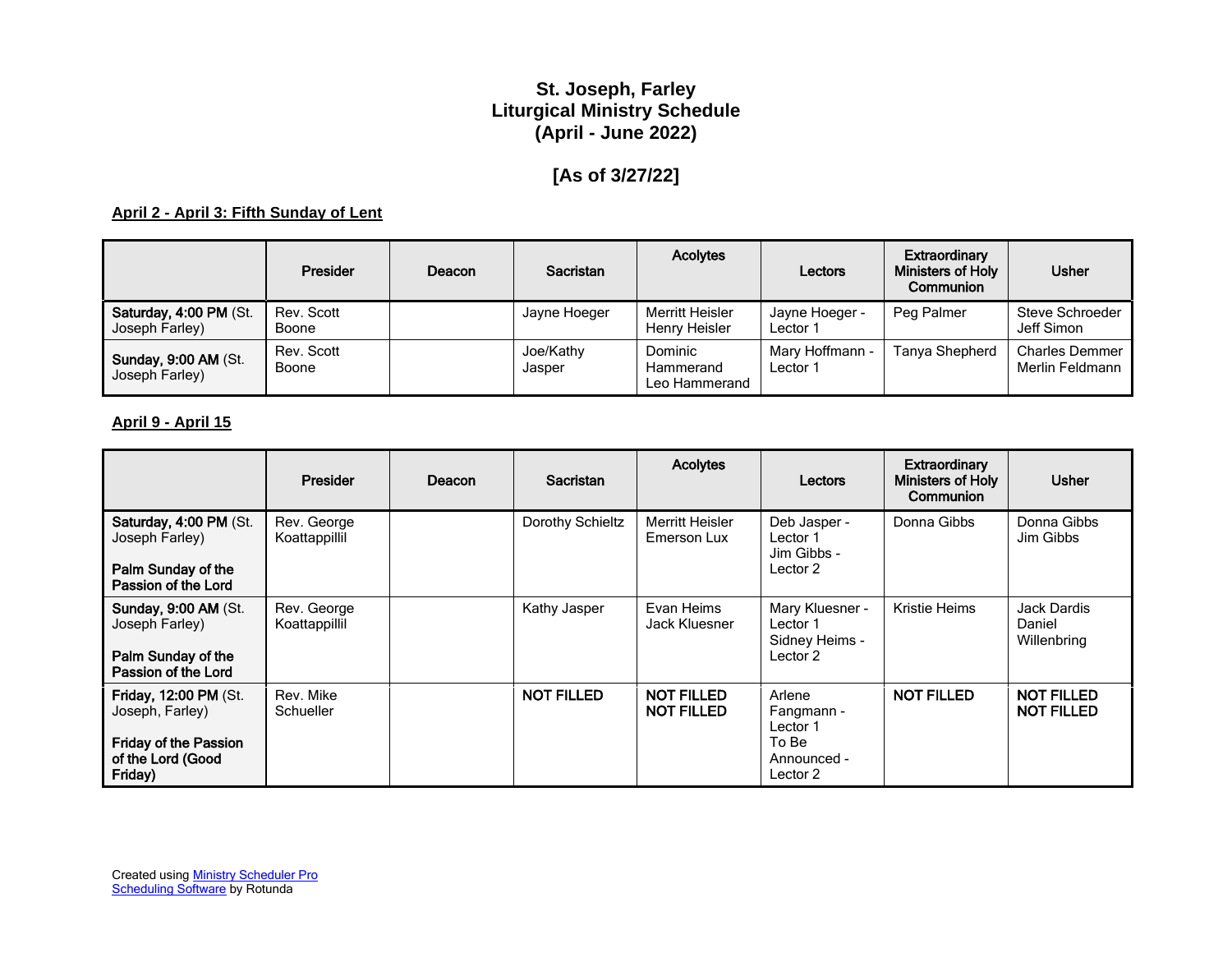## **St. Joseph, Farley Liturgical Ministry Schedule (April - June 2022)**

# **[As of 3/27/22]**

#### **April 2 - April 3: Fifth Sunday of Lent**

|                                               | <b>Presider</b>     | Deacon | Sacristan           | <b>Acolytes</b>                       | Lectors                     | Extraordinary<br><b>Ministers of Holy</b><br>Communion | <b>Usher</b>                             |
|-----------------------------------------------|---------------------|--------|---------------------|---------------------------------------|-----------------------------|--------------------------------------------------------|------------------------------------------|
| Saturday, 4:00 PM (St.<br>Joseph Farley)      | Rev. Scott<br>Boone |        | Jayne Hoeger        | Merritt Heisler<br>Henry Heisler      | Jayne Hoeger -<br>Lector 1  | Peg Palmer                                             | Steve Schroeder<br>Jeff Simon            |
| <b>Sunday, 9:00 AM (St.</b><br>Joseph Farley) | Rev. Scott<br>Boone |        | Joe/Kathy<br>Jasper | Dominic<br>Hammerand<br>Leo Hammerand | Mary Hoffmann -<br>Lector 1 | Tanya Shepherd                                         | <b>Charles Demmer</b><br>Merlin Feldmann |

#### **April 9 - April 15**

|                                                                                                          | Presider                     | Deacon | Sacristan         | <b>Acolytes</b>                        | Lectors                                                              | <b>Extraordinary</b><br>Ministers of Holy<br>Communion | <b>Usher</b>                           |
|----------------------------------------------------------------------------------------------------------|------------------------------|--------|-------------------|----------------------------------------|----------------------------------------------------------------------|--------------------------------------------------------|----------------------------------------|
| Saturday, 4:00 PM (St.<br>Joseph Farley)<br>Palm Sunday of the<br>Passion of the Lord                    | Rev. George<br>Koattappillil |        | Dorothy Schieltz  | Merritt Heisler<br>Emerson Lux         | Deb Jasper -<br>Lector 1<br>Jim Gibbs -<br>Lector 2                  | Donna Gibbs                                            | Donna Gibbs<br>Jim Gibbs               |
| <b>Sunday, 9:00 AM (St.</b><br>Joseph Farley)<br>Palm Sunday of the<br>Passion of the Lord               | Rev. George<br>Koattappillil |        | Kathy Jasper      | Evan Heims<br>Jack Kluesner            | Mary Kluesner -<br>Lector 1<br>Sidney Heims -<br>Lector 2            | Kristie Heims                                          | Jack Dardis<br>Daniel<br>Willenbring   |
| Friday, 12:00 PM (St.<br>Joseph, Farley)<br><b>Friday of the Passion</b><br>of the Lord (Good<br>Friday) | Rev. Mike<br>Schueller       |        | <b>NOT FILLED</b> | <b>NOT FILLED</b><br><b>NOT FILLED</b> | Arlene<br>Fangmann -<br>Lector 1<br>To Be<br>Announced -<br>Lector 2 | <b>NOT FILLED</b>                                      | <b>NOT FILLED</b><br><b>NOT FILLED</b> |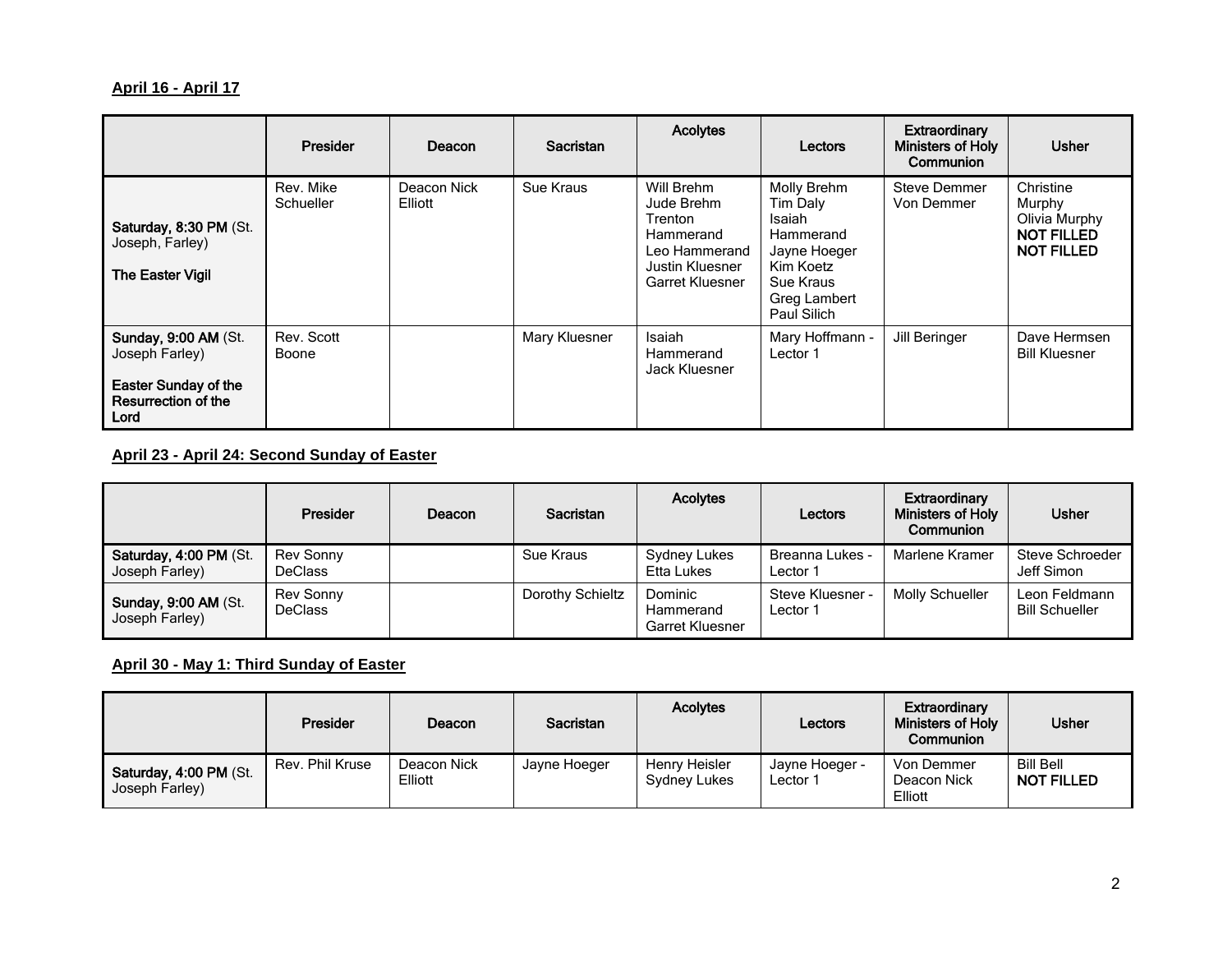### **April 16 - April 17**

|                                                                                                             | Presider               | Deacon                 | <b>Sacristan</b> | <b>Acolytes</b>                                                                                                | Lectors                                                                                                                 | Extraordinary<br><b>Ministers of Holy</b><br>Communion | <b>Usher</b>                                                                   |
|-------------------------------------------------------------------------------------------------------------|------------------------|------------------------|------------------|----------------------------------------------------------------------------------------------------------------|-------------------------------------------------------------------------------------------------------------------------|--------------------------------------------------------|--------------------------------------------------------------------------------|
| Saturday, 8:30 PM (St.<br>Joseph, Farley)<br><b>The Easter Vigil</b>                                        | Rev. Mike<br>Schueller | Deacon Nick<br>Elliott | Sue Kraus        | Will Brehm<br>Jude Brehm<br>Trenton<br>Hammerand<br>Leo Hammerand<br>Justin Kluesner<br><b>Garret Kluesner</b> | Molly Brehm<br>Tim Daly<br>Isaiah<br>Hammerand<br>Jayne Hoeger<br>Kim Koetz<br>Sue Kraus<br>Greg Lambert<br>Paul Silich | Steve Demmer<br>Von Demmer                             | Christine<br>Murphy<br>Olivia Murphy<br><b>NOT FILLED</b><br><b>NOT FILLED</b> |
| <b>Sunday, 9:00 AM (St.</b><br>Joseph Farley)<br><b>Easter Sunday of the</b><br>Resurrection of the<br>Lord | Rev. Scott<br>Boone    |                        | Mary Kluesner    | Isaiah<br>Hammerand<br>Jack Kluesner                                                                           | Mary Hoffmann -<br>Lector 1                                                                                             | Jill Beringer                                          | Dave Hermsen<br><b>Bill Kluesner</b>                                           |

### **April 23 - April 24: Second Sunday of Easter**

|                                               | Presider                    | Deacon | Sacristan        | <b>Acolytes</b>                                | Lectors                            | Extraordinary<br><b>Ministers of Holy</b><br>Communion | <b>Usher</b>                           |
|-----------------------------------------------|-----------------------------|--------|------------------|------------------------------------------------|------------------------------------|--------------------------------------------------------|----------------------------------------|
| Saturday, 4:00 PM (St.<br>Joseph Farley)      | Rev Sonny<br><b>DeClass</b> |        | Sue Kraus        | Sydney Lukes<br>Etta Lukes                     | <b>Breanna Lukes -</b><br>Lector 1 | Marlene Kramer                                         | Steve Schroeder<br>Jeff Simon          |
| <b>Sunday, 9:00 AM (St.</b><br>Joseph Farley) | Rev Sonny<br><b>DeClass</b> |        | Dorothy Schieltz | Dominic<br>Hammerand<br><b>Garret Kluesner</b> | Steve Kluesner -<br>Lector 1       | <b>Molly Schueller</b>                                 | Leon Feldmann<br><b>Bill Schueller</b> |

#### **April 30 - May 1: Third Sunday of Easter**

|                                          | <b>Presider</b> | Deacon                 | Sacristan    | <b>Acolytes</b>               | Lectors                    | <b>Extraordinary</b><br>Ministers of Holy<br>Communion | <b>Usher</b>                          |
|------------------------------------------|-----------------|------------------------|--------------|-------------------------------|----------------------------|--------------------------------------------------------|---------------------------------------|
| Saturday, 4:00 PM (St.<br>Joseph Farley) | Rev. Phil Kruse | Deacon Nick<br>Elliott | Jayne Hoeger | Henry Heisler<br>Sydney Lukes | Jayne Hoeger -<br>Lector 1 | Von Demmer<br>Deacon Nick<br>Elliott                   | <b>Bill Bell</b><br><b>NOT FILLED</b> |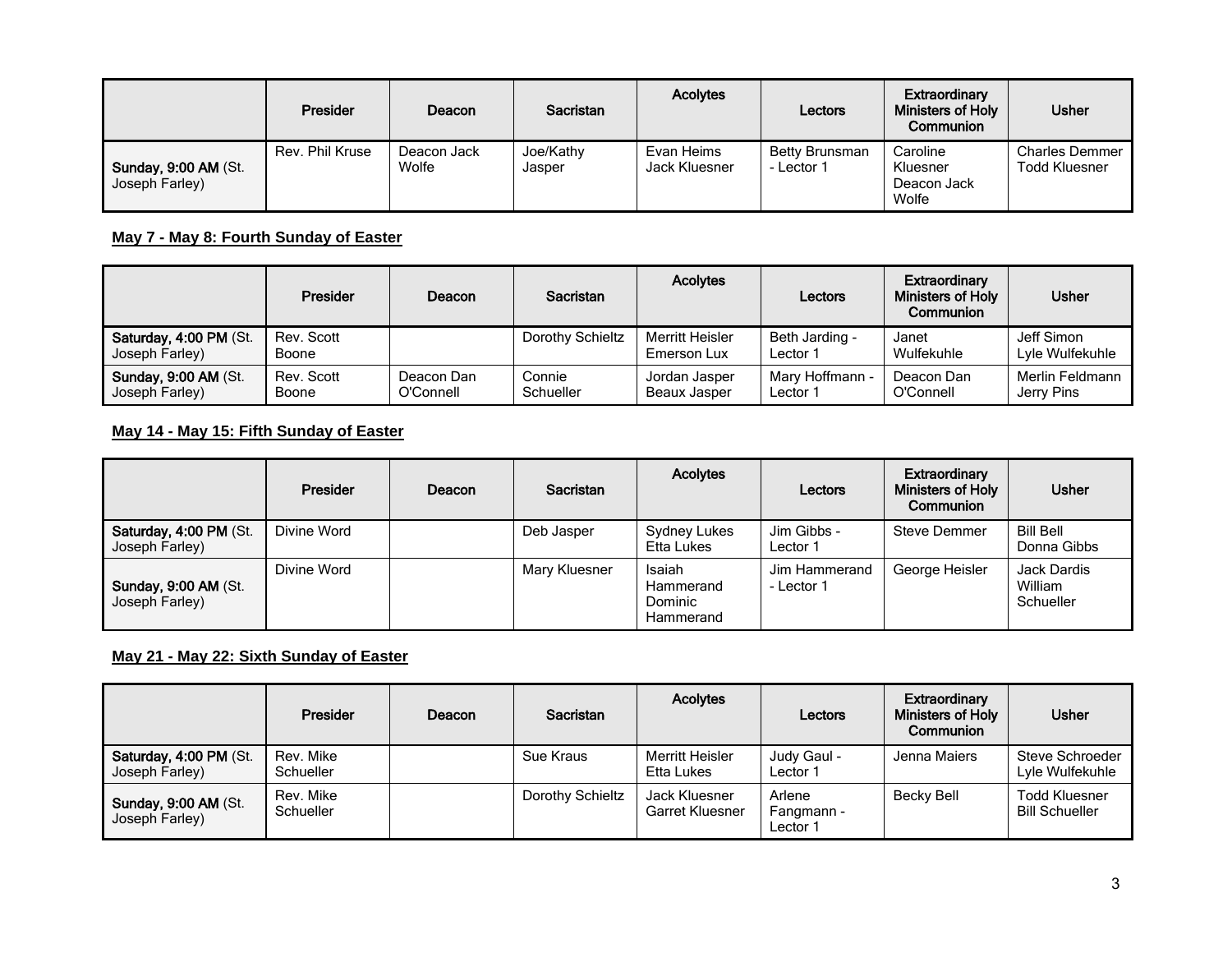|                                               | <b>Presider</b> | Deacon               | <b>Sacristan</b>    | <b>Acolytes</b>             | Lectors                      | Extraordinary<br>Ministers of Holy<br>Communion | <b>Usher</b>                                  |
|-----------------------------------------------|-----------------|----------------------|---------------------|-----------------------------|------------------------------|-------------------------------------------------|-----------------------------------------------|
| <b>Sunday, 9:00 AM (St.</b><br>Joseph Farley) | Rev. Phil Kruse | Deacon Jack<br>Wolfe | Joe/Kathy<br>Jasper | Evan Heims<br>Jack Kluesner | Betty Brunsman<br>- Lector 1 | Caroline<br>Kluesner<br>Deacon Jack<br>Wolfe    | <b>Charles Demmer</b><br><b>Todd Kluesner</b> |

### **May 7 - May 8: Fourth Sunday of Easter**

|                                               | Presider            | Deacon                  | <b>Sacristan</b>    | <b>Acolytes</b>                | Lectors                     | Extraordinary<br>Ministers of Holy<br>Communion | <b>Usher</b>                  |
|-----------------------------------------------|---------------------|-------------------------|---------------------|--------------------------------|-----------------------------|-------------------------------------------------|-------------------------------|
| Saturday, 4:00 PM (St.<br>Joseph Farley)      | Rev. Scott<br>Boone |                         | Dorothy Schieltz    | Merritt Heisler<br>Emerson Lux | Beth Jarding -<br>Lector 1  | Janet<br>Wulfekuhle                             | Jeff Simon<br>Lvle Wulfekuhle |
| <b>Sunday, 9:00 AM (St.</b><br>Joseph Farley) | Rev. Scott<br>Boone | Deacon Dan<br>O'Connell | Connie<br>Schueller | Jordan Jasper<br>Beaux Jasper  | Mary Hoffmann -<br>Lector 1 | Deacon Dan<br>O'Connell                         | Merlin Feldmann<br>Jerry Pins |

### **May 14 - May 15: Fifth Sunday of Easter**

|                                          | Presider    | Deacon | <b>Sacristan</b> | <b>Acolytes</b>                             | Lectors                     | Extraordinary<br>Ministers of Holy<br>Communion | <b>Usher</b>                        |
|------------------------------------------|-------------|--------|------------------|---------------------------------------------|-----------------------------|-------------------------------------------------|-------------------------------------|
| Saturday, 4:00 PM (St.<br>Joseph Farley) | Divine Word |        | Deb Jasper       | Sydney Lukes<br>Etta Lukes                  | Jim Gibbs -<br>Lector 1     | Steve Demmer                                    | Bill Bell<br>Donna Gibbs            |
| Sunday, 9:00 AM (St.<br>Joseph Farley)   | Divine Word |        | Mary Kluesner    | Isaiah<br>Hammerand<br>Dominic<br>Hammerand | Jim Hammerand<br>- Lector 1 | George Heisler                                  | Jack Dardis<br>William<br>Schueller |

### **May 21 - May 22: Sixth Sunday of Easter**

|                                          | <b>Presider</b>        | Deacon | <b>Sacristan</b> | <b>Acolytes</b>                         | Lectors                          | Extraordinary<br>Ministers of Holy<br>Communion | <b>Usher</b>                                  |
|------------------------------------------|------------------------|--------|------------------|-----------------------------------------|----------------------------------|-------------------------------------------------|-----------------------------------------------|
| Saturday, 4:00 PM (St.<br>Joseph Farley) | Rev. Mike<br>Schueller |        | Sue Kraus        | Merritt Heisler<br>Etta Lukes           | Judy Gaul -<br>Lector 1          | Jenna Maiers                                    | Steve Schroeder<br>Lyle Wulfekuhle            |
| Sunday, 9:00 AM (St.<br>Joseph Farley)   | Rev. Mike<br>Schueller |        | Dorothy Schieltz | Jack Kluesner<br><b>Garret Kluesner</b> | Arlene<br>Fangmann -<br>Lector 1 | Becky Bell                                      | <b>Todd Kluesner</b><br><b>Bill Schueller</b> |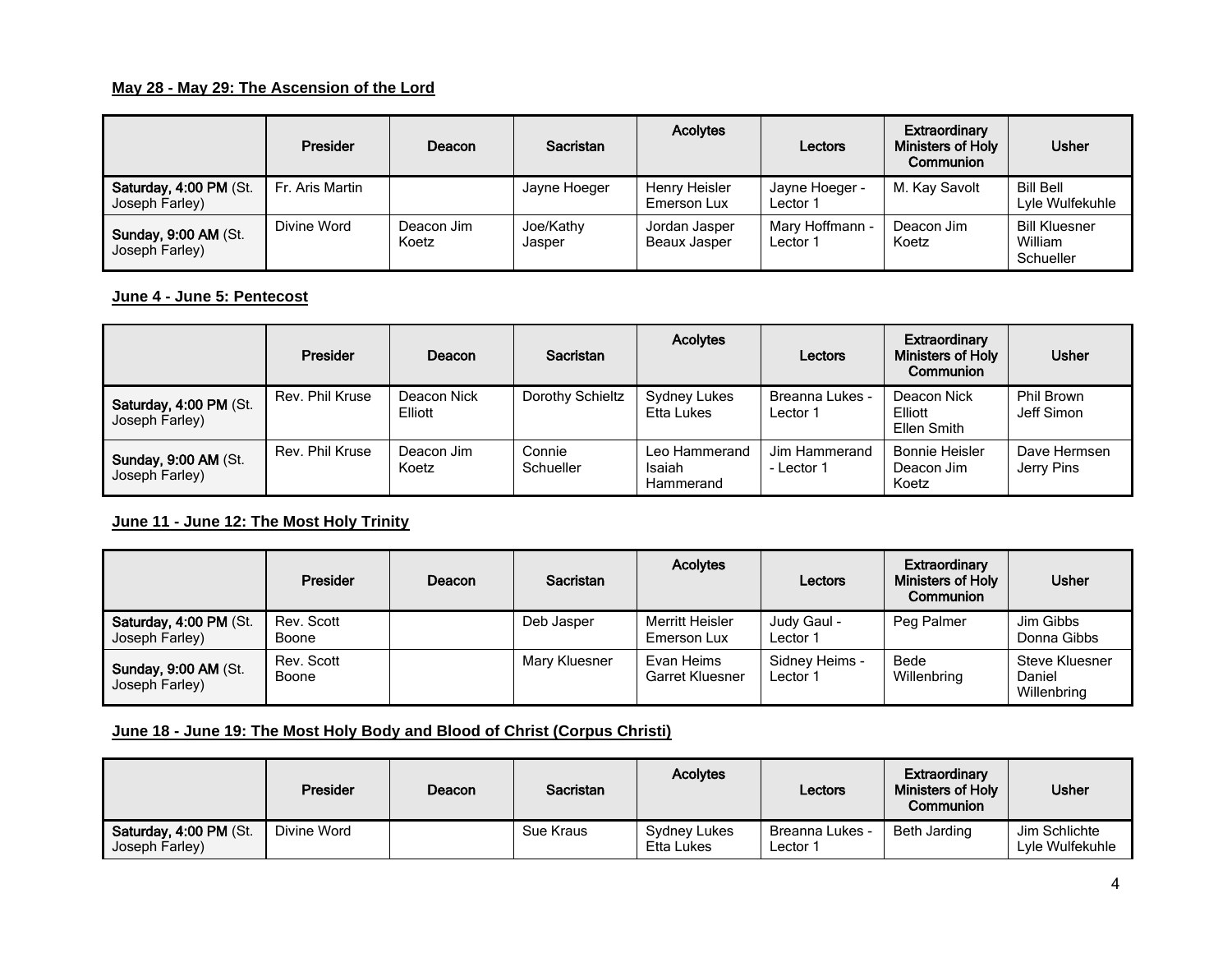### **May 28 - May 29: The Ascension of the Lord**

|                                               | <b>Presider</b> | Deacon              | <b>Sacristan</b>    | <b>Acolytes</b>               | Lectors                     | Extraordinary<br><b>Ministers of Holy</b><br>Communion | <b>Usher</b>                                 |
|-----------------------------------------------|-----------------|---------------------|---------------------|-------------------------------|-----------------------------|--------------------------------------------------------|----------------------------------------------|
| Saturday, 4:00 PM (St.<br>Joseph Farley)      | Fr. Aris Martin |                     | Jayne Hoeger        | Henry Heisler<br>Emerson Lux  | Jayne Hoeger -<br>Lector 1  | M. Kay Savolt                                          | <b>Bill Bell</b><br>Lyle Wulfekuhle          |
| <b>Sunday, 9:00 AM (St.</b><br>Joseph Farley) | Divine Word     | Deacon Jim<br>Koetz | Joe/Kathy<br>Jasper | Jordan Jasper<br>Beaux Jasper | Mary Hoffmann -<br>Lector 1 | Deacon Jim<br>Koetz                                    | <b>Bill Kluesner</b><br>William<br>Schueller |

#### **June 4 - June 5: Pentecost**

|                                               | <b>Presider</b> | Deacon                 | Sacristan           | <b>Acolytes</b>                      | Lectors                     | Extraordinary<br><b>Ministers of Holy</b><br>Communion | <b>Usher</b>               |
|-----------------------------------------------|-----------------|------------------------|---------------------|--------------------------------------|-----------------------------|--------------------------------------------------------|----------------------------|
| Saturday, 4:00 PM (St.<br>Joseph Farley)      | Rev. Phil Kruse | Deacon Nick<br>Elliott | Dorothy Schieltz    | Sydney Lukes<br>Etta Lukes           | Breanna Lukes -<br>Lector 1 | Deacon Nick<br>Elliott<br>Ellen Smith                  | Phil Brown<br>Jeff Simon   |
| <b>Sunday, 9:00 AM (St.</b><br>Joseph Farley) | Rev. Phil Kruse | Deacon Jim<br>Koetz    | Connie<br>Schueller | Leo Hammerand<br>Isaiah<br>Hammerand | Jim Hammerand<br>- Lector 1 | <b>Bonnie Heisler</b><br>Deacon Jim<br>Koetz           | Dave Hermsen<br>Jerry Pins |

### **June 11 - June 12: The Most Holy Trinity**

|                                          | Presider            | Deacon | <b>Sacristan</b> | <b>Acolytes</b>                      | Lectors                    | Extraordinary<br><b>Ministers of Holy</b><br>Communion | <b>Usher</b>                            |
|------------------------------------------|---------------------|--------|------------------|--------------------------------------|----------------------------|--------------------------------------------------------|-----------------------------------------|
| Saturday, 4:00 PM (St.<br>Joseph Farley) | Rev. Scott<br>Boone |        | Deb Jasper       | Merritt Heisler<br>Emerson Lux       | Judy Gaul -<br>Lector 1    | Peg Palmer                                             | Jim Gibbs<br>Donna Gibbs                |
| Sunday, 9:00 AM (St.<br>Joseph Farley)   | Rev. Scott<br>Boone |        | Mary Kluesner    | Evan Heims<br><b>Garret Kluesner</b> | Sidney Heims -<br>Lector 1 | Bede<br>Willenbring                                    | Steve Kluesner<br>Daniel<br>Willenbring |

### **June 18 - June 19: The Most Holy Body and Blood of Christ (Corpus Christi)**

|                                          | <b>Presider</b> | Deacon | <b>Sacristan</b> | <b>Acolytes</b>            | Lectors                            | Extraordinary<br>Ministers of Holy<br>Communion | <b>Usher</b>                     |
|------------------------------------------|-----------------|--------|------------------|----------------------------|------------------------------------|-------------------------------------------------|----------------------------------|
| Saturday, 4:00 PM (St.<br>Joseph Farley) | Divine Word     |        | Sue Kraus        | Sydney Lukes<br>Etta Lukes | <b>Breanna Lukes -</b><br>Lector 1 | Beth Jarding                                    | Jim Schlichte<br>Lyle Wulfekuhle |